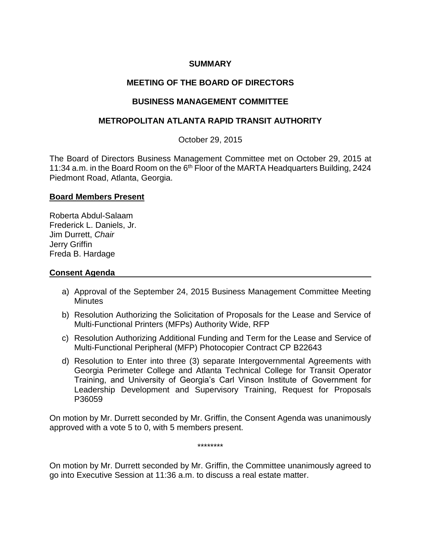## **SUMMARY**

# **MEETING OF THE BOARD OF DIRECTORS**

## **BUSINESS MANAGEMENT COMMITTEE**

## **METROPOLITAN ATLANTA RAPID TRANSIT AUTHORITY**

October 29, 2015

The Board of Directors Business Management Committee met on October 29, 2015 at 11:34 a.m. in the Board Room on the 6<sup>th</sup> Floor of the MARTA Headquarters Building, 2424 Piedmont Road, Atlanta, Georgia.

### **Board Members Present**

Roberta Abdul-Salaam Frederick L. Daniels, Jr. Jim Durrett, *Chair*  Jerry Griffin Freda B. Hardage

### **Consent Agenda**

- a) Approval of the September 24, 2015 Business Management Committee Meeting **Minutes**
- b) Resolution Authorizing the Solicitation of Proposals for the Lease and Service of Multi-Functional Printers (MFPs) Authority Wide, RFP
- c) Resolution Authorizing Additional Funding and Term for the Lease and Service of Multi-Functional Peripheral (MFP) Photocopier Contract CP B22643
- d) Resolution to Enter into three (3) separate Intergovernmental Agreements with Georgia Perimeter College and Atlanta Technical College for Transit Operator Training, and University of Georgia's Carl Vinson Institute of Government for Leadership Development and Supervisory Training, Request for Proposals P36059

On motion by Mr. Durrett seconded by Mr. Griffin, the Consent Agenda was unanimously approved with a vote 5 to 0, with 5 members present.

\*\*\*\*\*\*\*\*

On motion by Mr. Durrett seconded by Mr. Griffin, the Committee unanimously agreed to go into Executive Session at 11:36 a.m. to discuss a real estate matter.